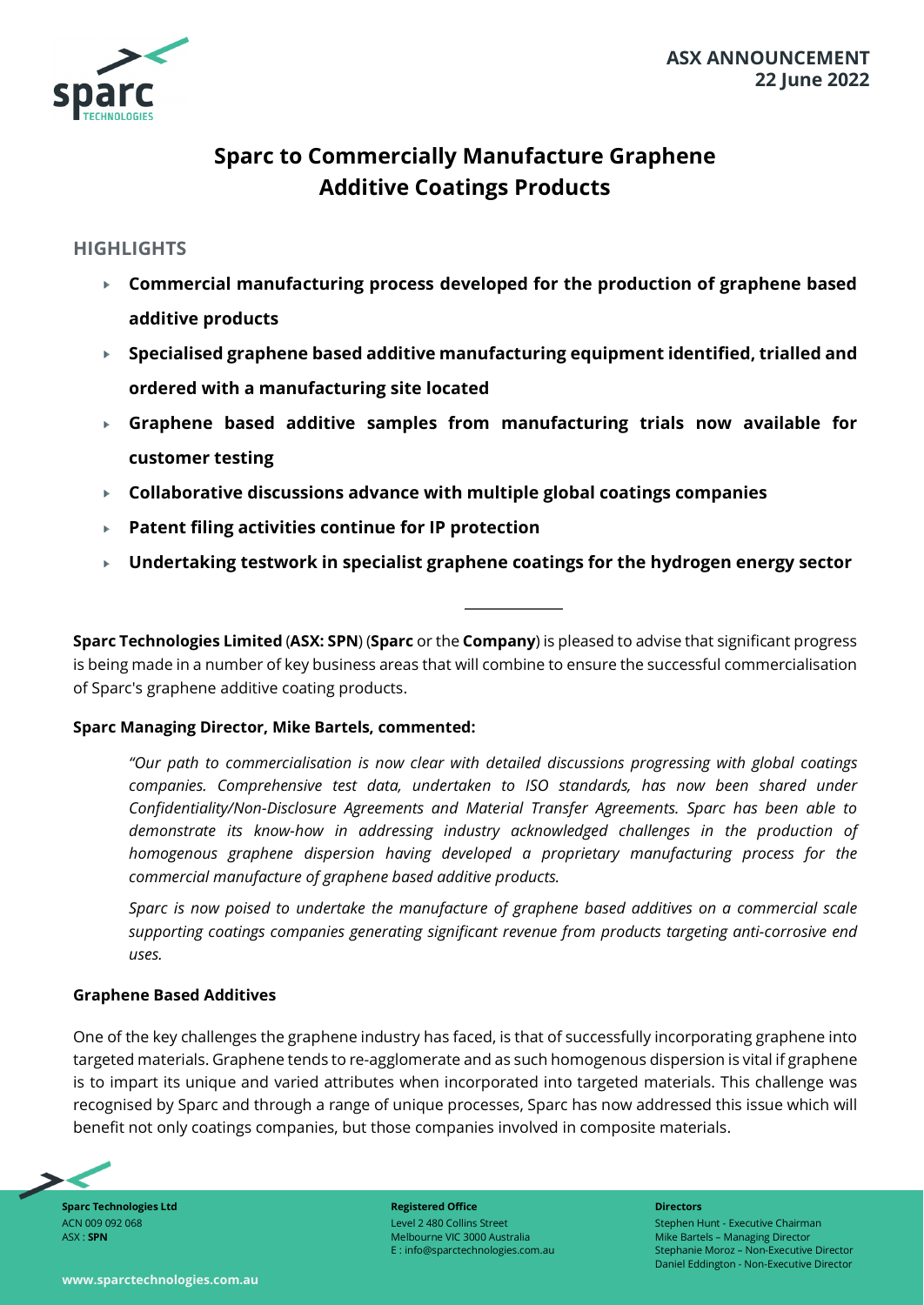

# **Sparc to Commercially Manufacture Graphene Additive Coatings Products**

# **HIGHLIGHTS**

- **Commercial manufacturing process developed for the production of graphene based additive products**
- **Specialised graphene based additive manufacturing equipment identified, trialled and ordered with a manufacturing site located**
- **Graphene based additive samples from manufacturing trials now available for customer testing**
- **Collaborative discussions advance with multiple global coatings companies**  $\mathbf{p}$
- **Patent filing activities continue for IP protection**  $\mathbf{p}$
- **Undertaking testwork in specialist graphene coatings for the hydrogen energy sector**  $\blacktriangleright$

**Sparc Technologies Limited** (**ASX: SPN**) (**Sparc** or the **Company**) is pleased to advise that significant progress is being made in a number of key business areas that will combine to ensure the successful commercialisation of Sparc's graphene additive coating products.

## **Sparc Managing Director, Mike Bartels, commented:**

*"Our path to commercialisation is now clear with detailed discussions progressing with global coatings companies. Comprehensive test data, undertaken to ISO standards, has now been shared under Confidentiality/Non-Disclosure Agreements and Material Transfer Agreements. Sparc has been able to demonstrate its know-how in addressing industry acknowledged challenges in the production of homogenous graphene dispersion having developed a proprietary manufacturing process for the commercial manufacture of graphene based additive products.*

*Sparc is now poised to undertake the manufacture of graphene based additives on a commercial scale supporting coatings companies generating significant revenue from products targeting anti-corrosive end uses.*

#### **Graphene Based Additives**

One of the key challenges the graphene industry has faced, is that of successfully incorporating graphene into targeted materials. Graphene tends to re-agglomerate and as such homogenous dispersion is vital if graphene is to impart its unique and varied attributes when incorporated into targeted materials. This challenge was recognised by Sparc and through a range of unique processes, Sparc has now addressed this issue which will benefit not only coatings companies, but those companies involved in composite materials.



**Sparc Technologies Ltd** ACN 009 092 068 ASX : **SPN**

**Registered Office** Level 2 480 Collins Street Melbourne VIC 3000 Australia E : info@sparctechnologies.com.au **Directors** Stephen Hunt - Executive Chairman Mike Bartels – Managing Director Stephanie Moroz – Non-Executive Director Daniel Eddington - Non-Executive Director